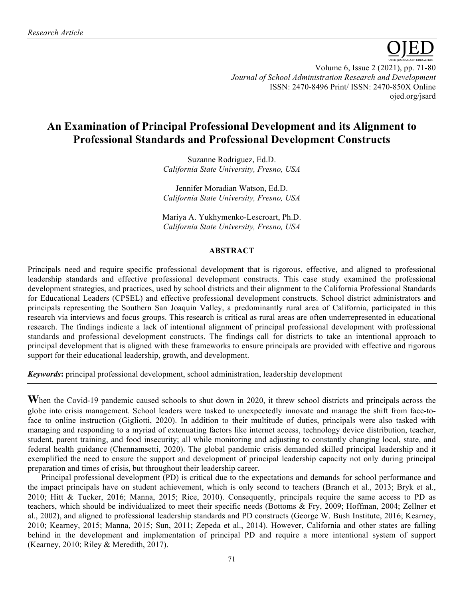

Volume 6, Issue 2 (2021), pp. 71-80 *Journal of School Administration Research and Development* ISSN: 2470-8496 Print/ ISSN: 2470-850X Online ojed.org/jsard

# **An Examination of Principal Professional Development and its Alignment to Professional Standards and Professional Development Constructs**

Suzanne Rodriguez, Ed.D. *California State University, Fresno, USA*

Jennifer Moradian Watson, Ed.D. *California State University, Fresno, USA*

Mariya A. Yukhymenko-Lescroart, Ph.D. *California State University, Fresno, USA*

# **ABSTRACT**

Principals need and require specific professional development that is rigorous, effective, and aligned to professional leadership standards and effective professional development constructs. This case study examined the professional development strategies, and practices, used by school districts and their alignment to the California Professional Standards for Educational Leaders (CPSEL) and effective professional development constructs. School district administrators and principals representing the Southern San Joaquin Valley, a predominantly rural area of California, participated in this research via interviews and focus groups. This research is critical as rural areas are often underrepresented in educational research. The findings indicate a lack of intentional alignment of principal professional development with professional standards and professional development constructs. The findings call for districts to take an intentional approach to principal development that is aligned with these frameworks to ensure principals are provided with effective and rigorous support for their educational leadership, growth, and development.

*Keywords***:** principal professional development, school administration, leadership development

**W**hen the Covid-19 pandemic caused schools to shut down in 2020, it threw school districts and principals across the globe into crisis management. School leaders were tasked to unexpectedly innovate and manage the shift from face-toface to online instruction (Gigliotti, 2020). In addition to their multitude of duties, principals were also tasked with managing and responding to a myriad of extenuating factors like internet access, technology device distribution, teacher, student, parent training, and food insecurity; all while monitoring and adjusting to constantly changing local, state, and federal health guidance (Chennamsetti, 2020). The global pandemic crisis demanded skilled principal leadership and it exemplified the need to ensure the support and development of principal leadership capacity not only during principal preparation and times of crisis, but throughout their leadership career.

Principal professional development (PD) is critical due to the expectations and demands for school performance and the impact principals have on student achievement, which is only second to teachers (Branch et al., 2013; Bryk et al., 2010; Hitt & Tucker, 2016; Manna, 2015; Rice, 2010). Consequently, principals require the same access to PD as teachers, which should be individualized to meet their specific needs (Bottoms & Fry, 2009; Hoffman, 2004; Zellner et al., 2002), and aligned to professional leadership standards and PD constructs (George W. Bush Institute, 2016; Kearney, 2010; Kearney, 2015; Manna, 2015; Sun, 2011; Zepeda et al., 2014). However, California and other states are falling behind in the development and implementation of principal PD and require a more intentional system of support (Kearney, 2010; Riley & Meredith, 2017).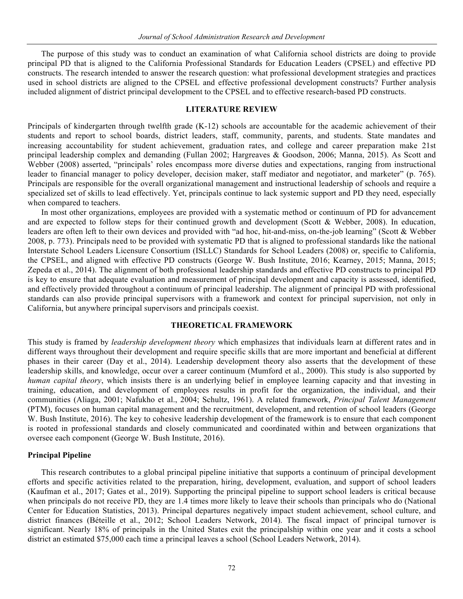The purpose of this study was to conduct an examination of what California school districts are doing to provide principal PD that is aligned to the California Professional Standards for Education Leaders (CPSEL) and effective PD constructs. The research intended to answer the research question: what professional development strategies and practices used in school districts are aligned to the CPSEL and effective professional development constructs? Further analysis included alignment of district principal development to the CPSEL and to effective research-based PD constructs.

# **LITERATURE REVIEW**

Principals of kindergarten through twelfth grade (K-12) schools are accountable for the academic achievement of their students and report to school boards, district leaders, staff, community, parents, and students. State mandates and increasing accountability for student achievement, graduation rates, and college and career preparation make 21st principal leadership complex and demanding (Fullan 2002; Hargreaves & Goodson, 2006; Manna, 2015). As Scott and Webber (2008) asserted, "principals' roles encompass more diverse duties and expectations, ranging from instructional leader to financial manager to policy developer, decision maker, staff mediator and negotiator, and marketer" (p. 765). Principals are responsible for the overall organizational management and instructional leadership of schools and require a specialized set of skills to lead effectively. Yet, principals continue to lack systemic support and PD they need, especially when compared to teachers.

In most other organizations, employees are provided with a systematic method or continuum of PD for advancement and are expected to follow steps for their continued growth and development (Scott  $&$  Webber, 2008). In education, leaders are often left to their own devices and provided with "ad hoc, hit-and-miss, on-the-job learning" (Scott & Webber 2008, p. 773). Principals need to be provided with systematic PD that is aligned to professional standards like the national Interstate School Leaders Licensure Consortium (ISLLC) Standards for School Leaders (2008) or, specific to California, the CPSEL, and aligned with effective PD constructs (George W. Bush Institute, 2016; Kearney, 2015; Manna, 2015; Zepeda et al., 2014). The alignment of both professional leadership standards and effective PD constructs to principal PD is key to ensure that adequate evaluation and measurement of principal development and capacity is assessed, identified, and effectively provided throughout a continuum of principal leadership. The alignment of principal PD with professional standards can also provide principal supervisors with a framework and context for principal supervision, not only in California, but anywhere principal supervisors and principals coexist.

# **THEORETICAL FRAMEWORK**

This study is framed by *leadership development theory* which emphasizes that individuals learn at different rates and in different ways throughout their development and require specific skills that are more important and beneficial at different phases in their career (Day et al., 2014). Leadership development theory also asserts that the development of these leadership skills, and knowledge, occur over a career continuum (Mumford et al., 2000). This study is also supported by *human capital theory*, which insists there is an underlying belief in employee learning capacity and that investing in training, education, and development of employees results in profit for the organization, the individual, and their communities (Aliaga, 2001; Nafukho et al., 2004; Schultz, 1961). A related framework, *Principal Talent Management*  (PTM), focuses on human capital management and the recruitment, development, and retention of school leaders (George W. Bush Institute, 2016). The key to cohesive leadership development of the framework is to ensure that each component is rooted in professional standards and closely communicated and coordinated within and between organizations that oversee each component (George W. Bush Institute, 2016).

## **Principal Pipeline**

This research contributes to a global principal pipeline initiative that supports a continuum of principal development efforts and specific activities related to the preparation, hiring, development, evaluation, and support of school leaders (Kaufman et al., 2017; Gates et al., 2019). Supporting the principal pipeline to support school leaders is critical because when principals do not receive PD, they are 1.4 times more likely to leave their schools than principals who do (National Center for Education Statistics, 2013). Principal departures negatively impact student achievement, school culture, and district finances (Béteille et al., 2012; School Leaders Network, 2014). The fiscal impact of principal turnover is significant. Nearly 18% of principals in the United States exit the principalship within one year and it costs a school district an estimated \$75,000 each time a principal leaves a school (School Leaders Network, 2014).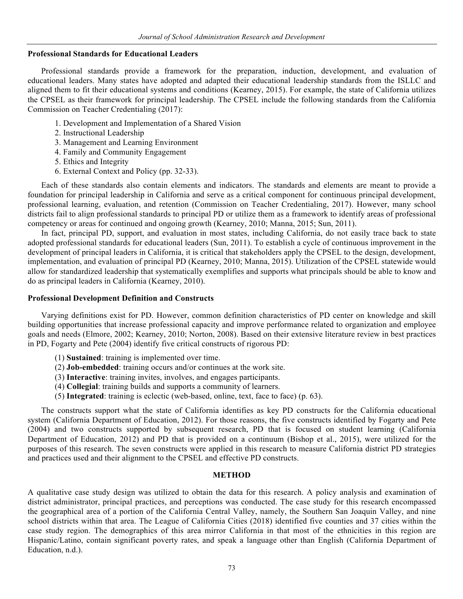#### **Professional Standards for Educational Leaders**

Professional standards provide a framework for the preparation, induction, development, and evaluation of educational leaders. Many states have adopted and adapted their educational leadership standards from the ISLLC and aligned them to fit their educational systems and conditions (Kearney, 2015). For example, the state of California utilizes the CPSEL as their framework for principal leadership. The CPSEL include the following standards from the California Commission on Teacher Credentialing (2017):

- 1. Development and Implementation of a Shared Vision
- 2. Instructional Leadership
- 3. Management and Learning Environment
- 4. Family and Community Engagement
- 5. Ethics and Integrity
- 6. External Context and Policy (pp. 32-33).

Each of these standards also contain elements and indicators. The standards and elements are meant to provide a foundation for principal leadership in California and serve as a critical component for continuous principal development, professional learning, evaluation, and retention (Commission on Teacher Credentialing, 2017). However, many school districts fail to align professional standards to principal PD or utilize them as a framework to identify areas of professional competency or areas for continued and ongoing growth (Kearney, 2010; Manna, 2015; Sun, 2011).

In fact, principal PD, support, and evaluation in most states, including California, do not easily trace back to state adopted professional standards for educational leaders (Sun, 2011). To establish a cycle of continuous improvement in the development of principal leaders in California, it is critical that stakeholders apply the CPSEL to the design, development, implementation, and evaluation of principal PD (Kearney, 2010; Manna, 2015). Utilization of the CPSEL statewide would allow for standardized leadership that systematically exemplifies and supports what principals should be able to know and do as principal leaders in California (Kearney, 2010).

#### **Professional Development Definition and Constructs**

Varying definitions exist for PD. However, common definition characteristics of PD center on knowledge and skill building opportunities that increase professional capacity and improve performance related to organization and employee goals and needs (Elmore, 2002; Kearney, 2010; Norton, 2008). Based on their extensive literature review in best practices in PD, Fogarty and Pete (2004) identify five critical constructs of rigorous PD:

- (1) **Sustained**: training is implemented over time.
- (2) **Job-embedded**: training occurs and/or continues at the work site.
- (3) **Interactive**: training invites, involves, and engages participants.
- (4) **Collegial**: training builds and supports a community of learners.
- (5) **Integrated**: training is eclectic (web-based, online, text, face to face) (p. 63).

The constructs support what the state of California identifies as key PD constructs for the California educational system (California Department of Education, 2012). For those reasons, the five constructs identified by Fogarty and Pete (2004) and two constructs supported by subsequent research, PD that is focused on student learning (California Department of Education, 2012) and PD that is provided on a continuum (Bishop et al., 2015), were utilized for the purposes of this research. The seven constructs were applied in this research to measure California district PD strategies and practices used and their alignment to the CPSEL and effective PD constructs.

#### **METHOD**

A qualitative case study design was utilized to obtain the data for this research. A policy analysis and examination of district administrator, principal practices, and perceptions was conducted. The case study for this research encompassed the geographical area of a portion of the California Central Valley, namely, the Southern San Joaquin Valley, and nine school districts within that area. The League of California Cities (2018) identified five counties and 37 cities within the case study region. The demographics of this area mirror California in that most of the ethnicities in this region are Hispanic/Latino, contain significant poverty rates, and speak a language other than English (California Department of Education, n.d.).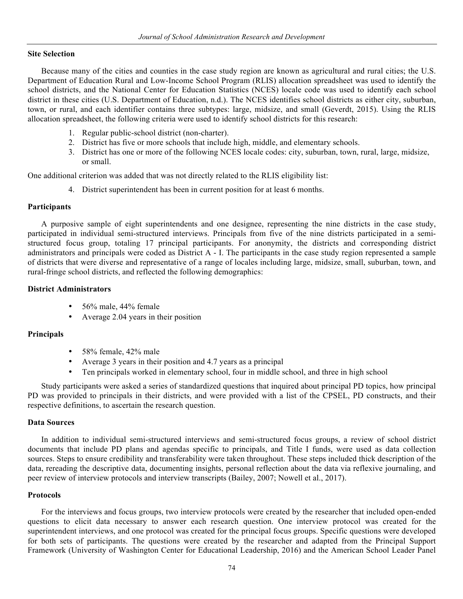## **Site Selection**

Because many of the cities and counties in the case study region are known as agricultural and rural cities; the U.S. Department of Education Rural and Low-Income School Program (RLIS) allocation spreadsheet was used to identify the school districts, and the National Center for Education Statistics (NCES) locale code was used to identify each school district in these cities (U.S. Department of Education, n.d.). The NCES identifies school districts as either city, suburban, town, or rural, and each identifier contains three subtypes: large, midsize, and small (Geverdt, 2015). Using the RLIS allocation spreadsheet, the following criteria were used to identify school districts for this research:

- 1. Regular public-school district (non-charter).
- 2. District has five or more schools that include high, middle, and elementary schools.
- 3. District has one or more of the following NCES locale codes: city, suburban, town, rural, large, midsize, or small.

One additional criterion was added that was not directly related to the RLIS eligibility list:

4. District superintendent has been in current position for at least 6 months.

## **Participants**

A purposive sample of eight superintendents and one designee, representing the nine districts in the case study, participated in individual semi-structured interviews. Principals from five of the nine districts participated in a semistructured focus group, totaling 17 principal participants. For anonymity, the districts and corresponding district administrators and principals were coded as District A - I. The participants in the case study region represented a sample of districts that were diverse and representative of a range of locales including large, midsize, small, suburban, town, and rural-fringe school districts, and reflected the following demographics:

## **District Administrators**

- 56% male, 44% female
- Average 2.04 years in their position

## **Principals**

- 58% female, 42% male
- Average 3 years in their position and 4.7 years as a principal
- Ten principals worked in elementary school, four in middle school, and three in high school

Study participants were asked a series of standardized questions that inquired about principal PD topics, how principal PD was provided to principals in their districts, and were provided with a list of the CPSEL, PD constructs, and their respective definitions, to ascertain the research question.

## **Data Sources**

In addition to individual semi-structured interviews and semi-structured focus groups, a review of school district documents that include PD plans and agendas specific to principals, and Title I funds, were used as data collection sources. Steps to ensure credibility and transferability were taken throughout. These steps included thick description of the data, rereading the descriptive data, documenting insights, personal reflection about the data via reflexive journaling, and peer review of interview protocols and interview transcripts (Bailey, 2007; Nowell et al., 2017).

## **Protocols**

For the interviews and focus groups, two interview protocols were created by the researcher that included open-ended questions to elicit data necessary to answer each research question. One interview protocol was created for the superintendent interviews, and one protocol was created for the principal focus groups. Specific questions were developed for both sets of participants. The questions were created by the researcher and adapted from the Principal Support Framework (University of Washington Center for Educational Leadership, 2016) and the American School Leader Panel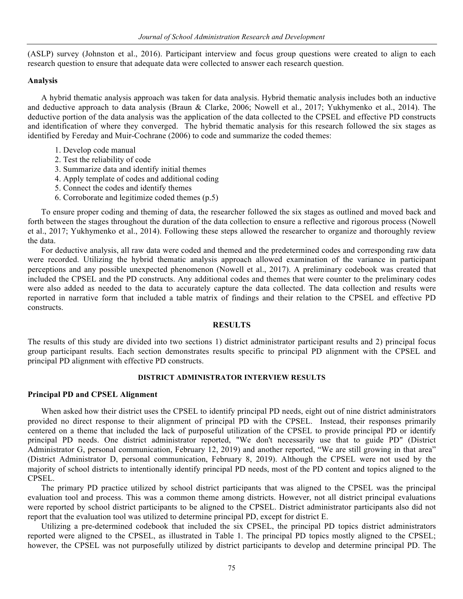(ASLP) survey (Johnston et al., 2016). Participant interview and focus group questions were created to align to each research question to ensure that adequate data were collected to answer each research question.

#### **Analysis**

A hybrid thematic analysis approach was taken for data analysis. Hybrid thematic analysis includes both an inductive and deductive approach to data analysis (Braun & Clarke, 2006; Nowell et al., 2017; Yukhymenko et al., 2014). The deductive portion of the data analysis was the application of the data collected to the CPSEL and effective PD constructs and identification of where they converged. The hybrid thematic analysis for this research followed the six stages as identified by Fereday and Muir-Cochrane (2006) to code and summarize the coded themes:

- 1. Develop code manual
- 2. Test the reliability of code
- 3. Summarize data and identify initial themes
- 4. Apply template of codes and additional coding
- 5. Connect the codes and identify themes
- 6. Corroborate and legitimize coded themes (p.5)

To ensure proper coding and theming of data, the researcher followed the six stages as outlined and moved back and forth between the stages throughout the duration of the data collection to ensure a reflective and rigorous process (Nowell et al., 2017; Yukhymenko et al., 2014). Following these steps allowed the researcher to organize and thoroughly review the data.

For deductive analysis, all raw data were coded and themed and the predetermined codes and corresponding raw data were recorded. Utilizing the hybrid thematic analysis approach allowed examination of the variance in participant perceptions and any possible unexpected phenomenon (Nowell et al., 2017). A preliminary codebook was created that included the CPSEL and the PD constructs. Any additional codes and themes that were counter to the preliminary codes were also added as needed to the data to accurately capture the data collected. The data collection and results were reported in narrative form that included a table matrix of findings and their relation to the CPSEL and effective PD constructs.

# **RESULTS**

The results of this study are divided into two sections 1) district administrator participant results and 2) principal focus group participant results. Each section demonstrates results specific to principal PD alignment with the CPSEL and principal PD alignment with effective PD constructs.

#### **DISTRICT ADMINISTRATOR INTERVIEW RESULTS**

#### **Principal PD and CPSEL Alignment**

When asked how their district uses the CPSEL to identify principal PD needs, eight out of nine district administrators provided no direct response to their alignment of principal PD with the CPSEL. Instead, their responses primarily centered on a theme that included the lack of purposeful utilization of the CPSEL to provide principal PD or identify principal PD needs. One district administrator reported, "We don't necessarily use that to guide PD" (District Administrator G, personal communication, February 12, 2019) and another reported, "We are still growing in that area" (District Administrator D, personal communication, February 8, 2019). Although the CPSEL were not used by the majority of school districts to intentionally identify principal PD needs, most of the PD content and topics aligned to the CPSEL.

The primary PD practice utilized by school district participants that was aligned to the CPSEL was the principal evaluation tool and process. This was a common theme among districts. However, not all district principal evaluations were reported by school district participants to be aligned to the CPSEL. District administrator participants also did not report that the evaluation tool was utilized to determine principal PD, except for district E.

Utilizing a pre-determined codebook that included the six CPSEL, the principal PD topics district administrators reported were aligned to the CPSEL, as illustrated in Table 1. The principal PD topics mostly aligned to the CPSEL; however, the CPSEL was not purposefully utilized by district participants to develop and determine principal PD. The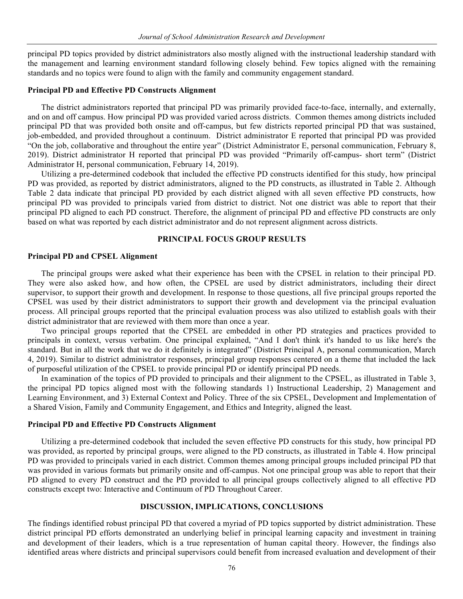principal PD topics provided by district administrators also mostly aligned with the instructional leadership standard with the management and learning environment standard following closely behind. Few topics aligned with the remaining standards and no topics were found to align with the family and community engagement standard.

#### **Principal PD and Effective PD Constructs Alignment**

The district administrators reported that principal PD was primarily provided face-to-face, internally, and externally, and on and off campus. How principal PD was provided varied across districts. Common themes among districts included principal PD that was provided both onsite and off-campus, but few districts reported principal PD that was sustained, job-embedded, and provided throughout a continuum. District administrator E reported that principal PD was provided "On the job, collaborative and throughout the entire year" (District Administrator E, personal communication, February 8, 2019). District administrator H reported that principal PD was provided "Primarily off-campus- short term" (District Administrator H, personal communication, February 14, 2019).

Utilizing a pre-determined codebook that included the effective PD constructs identified for this study, how principal PD was provided, as reported by district administrators, aligned to the PD constructs, as illustrated in Table 2. Although Table 2 data indicate that principal PD provided by each district aligned with all seven effective PD constructs, how principal PD was provided to principals varied from district to district. Not one district was able to report that their principal PD aligned to each PD construct. Therefore, the alignment of principal PD and effective PD constructs are only based on what was reported by each district administrator and do not represent alignment across districts.

# **PRINCIPAL FOCUS GROUP RESULTS**

#### **Principal PD and CPSEL Alignment**

The principal groups were asked what their experience has been with the CPSEL in relation to their principal PD. They were also asked how, and how often, the CPSEL are used by district administrators, including their direct supervisor, to support their growth and development. In response to those questions, all five principal groups reported the CPSEL was used by their district administrators to support their growth and development via the principal evaluation process. All principal groups reported that the principal evaluation process was also utilized to establish goals with their district administrator that are reviewed with them more than once a year.

Two principal groups reported that the CPSEL are embedded in other PD strategies and practices provided to principals in context, versus verbatim. One principal explained, "And I don't think it's handed to us like here's the standard. But in all the work that we do it definitely is integrated" (District Principal A, personal communication, March 4, 2019). Similar to district administrator responses, principal group responses centered on a theme that included the lack of purposeful utilization of the CPSEL to provide principal PD or identify principal PD needs.

In examination of the topics of PD provided to principals and their alignment to the CPSEL, as illustrated in Table 3, the principal PD topics aligned most with the following standards 1) Instructional Leadership, 2) Management and Learning Environment, and 3) External Context and Policy. Three of the six CPSEL, Development and Implementation of a Shared Vision, Family and Community Engagement, and Ethics and Integrity, aligned the least.

# **Principal PD and Effective PD Constructs Alignment**

Utilizing a pre-determined codebook that included the seven effective PD constructs for this study, how principal PD was provided, as reported by principal groups, were aligned to the PD constructs, as illustrated in Table 4. How principal PD was provided to principals varied in each district. Common themes among principal groups included principal PD that was provided in various formats but primarily onsite and off-campus. Not one principal group was able to report that their PD aligned to every PD construct and the PD provided to all principal groups collectively aligned to all effective PD constructs except two: Interactive and Continuum of PD Throughout Career.

#### **DISCUSSION, IMPLICATIONS, CONCLUSIONS**

The findings identified robust principal PD that covered a myriad of PD topics supported by district administration. These district principal PD efforts demonstrated an underlying belief in principal learning capacity and investment in training and development of their leaders, which is a true representation of human capital theory. However, the findings also identified areas where districts and principal supervisors could benefit from increased evaluation and development of their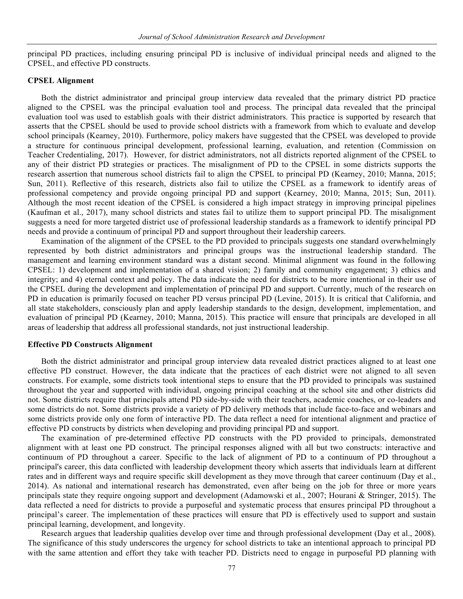principal PD practices, including ensuring principal PD is inclusive of individual principal needs and aligned to the CPSEL, and effective PD constructs.

#### **CPSEL Alignment**

Both the district administrator and principal group interview data revealed that the primary district PD practice aligned to the CPSEL was the principal evaluation tool and process. The principal data revealed that the principal evaluation tool was used to establish goals with their district administrators. This practice is supported by research that asserts that the CPSEL should be used to provide school districts with a framework from which to evaluate and develop school principals (Kearney, 2010). Furthermore, policy makers have suggested that the CPSEL was developed to provide a structure for continuous principal development, professional learning, evaluation, and retention (Commission on Teacher Credentialing, 2017). However, for district administrators, not all districts reported alignment of the CPSEL to any of their district PD strategies or practices. The misalignment of PD to the CPSEL in some districts supports the research assertion that numerous school districts fail to align the CPSEL to principal PD (Kearney, 2010; Manna, 2015; Sun, 2011). Reflective of this research, districts also fail to utilize the CPSEL as a framework to identify areas of professional competency and provide ongoing principal PD and support (Kearney, 2010; Manna, 2015; Sun, 2011). Although the most recent ideation of the CPSEL is considered a high impact strategy in improving principal pipelines (Kaufman et al., 2017), many school districts and states fail to utilize them to support principal PD. The misalignment suggests a need for more targeted district use of professional leadership standards as a framework to identify principal PD needs and provide a continuum of principal PD and support throughout their leadership careers.

Examination of the alignment of the CPSEL to the PD provided to principals suggests one standard overwhelmingly represented by both district administrators and principal groups was the instructional leadership standard. The management and learning environment standard was a distant second. Minimal alignment was found in the following CPSEL: 1) development and implementation of a shared vision; 2) family and community engagement; 3) ethics and integrity; and 4) eternal context and policy. The data indicate the need for districts to be more intentional in their use of the CPSEL during the development and implementation of principal PD and support. Currently, much of the research on PD in education is primarily focused on teacher PD versus principal PD (Levine, 2015). It is critical that California, and all state stakeholders, consciously plan and apply leadership standards to the design, development, implementation, and evaluation of principal PD (Kearney, 2010; Manna, 2015). This practice will ensure that principals are developed in all areas of leadership that address all professional standards, not just instructional leadership.

#### **Effective PD Constructs Alignment**

Both the district administrator and principal group interview data revealed district practices aligned to at least one effective PD construct. However, the data indicate that the practices of each district were not aligned to all seven constructs. For example, some districts took intentional steps to ensure that the PD provided to principals was sustained throughout the year and supported with individual, ongoing principal coaching at the school site and other districts did not. Some districts require that principals attend PD side-by-side with their teachers, academic coaches, or co-leaders and some districts do not. Some districts provide a variety of PD delivery methods that include face-to-face and webinars and some districts provide only one form of interactive PD. The data reflect a need for intentional alignment and practice of effective PD constructs by districts when developing and providing principal PD and support.

The examination of pre-determined effective PD constructs with the PD provided to principals, demonstrated alignment with at least one PD construct. The principal responses aligned with all but two constructs: interactive and continuum of PD throughout a career. Specific to the lack of alignment of PD to a continuum of PD throughout a principal's career, this data conflicted with leadership development theory which asserts that individuals learn at different rates and in different ways and require specific skill development as they move through that career continuum (Day et al., 2014). As national and international research has demonstrated, even after being on the job for three or more years principals state they require ongoing support and development (Adamowski et al., 2007; Hourani & Stringer, 2015). The data reflected a need for districts to provide a purposeful and systematic process that ensures principal PD throughout a principal's career. The implementation of these practices will ensure that PD is effectively used to support and sustain principal learning, development, and longevity.

Research argues that leadership qualities develop over time and through professional development (Day et al., 2008). The significance of this study underscores the urgency for school districts to take an intentional approach to principal PD with the same attention and effort they take with teacher PD. Districts need to engage in purposeful PD planning with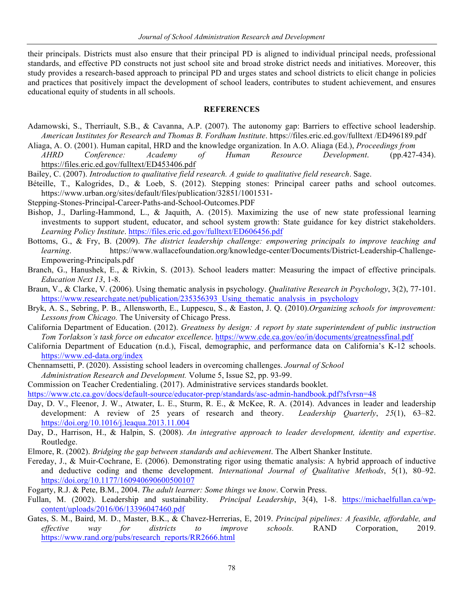their principals. Districts must also ensure that their principal PD is aligned to individual principal needs, professional standards, and effective PD constructs not just school site and broad stroke district needs and initiatives. Moreover, this study provides a research-based approach to principal PD and urges states and school districts to elicit change in policies and practices that positively impact the development of school leaders, contributes to student achievement, and ensures educational equity of students in all schools.

## **REFERENCES**

- Adamowski, S., Therriault, S.B., & Cavanna, A.P. (2007). The autonomy gap: Barriers to effective school leadership. *American Institutes for Research and Thomas B. Fordham Institute*. https://files.eric.ed.gov/fulltext /ED496189.pdf
- Aliaga, A. O. (2001). Human capital, HRD and the knowledge organization. In A.O. Aliaga (Ed.), *Proceedings from AHRD Conference: Academy of Human Resource Development*. (pp.427-434). https://files.eric.ed.gov/fulltext/ED453406.pdf
- Bailey, C. (2007). *Introduction to qualitative field research. A guide to qualitative field research*. Sage.
- Béteille, T., Kalogrides, D., & Loeb, S. (2012). Stepping stones: Principal career paths and school outcomes. https://www.urban.org/sites/default/files/publication/32851/1001531-
- Stepping-Stones-Principal-Career-Paths-and-School-Outcomes.PDF
- Bishop, J., Darling-Hammond, L., & Jaquith, A. (2015). Maximizing the use of new state professional learning investments to support student, educator, and school system growth: State guidance for key district stakeholders. *Learning Policy Institute*. https://files.eric.ed.gov/fulltext/ED606456.pdf
- Bottoms, G., & Fry, B. (2009). *The district leadership challenge: empowering principals to improve teaching and learning*. https://www.wallacefoundation.org/knowledge-center/Documents/District-Leadership-Challenge-Empowering-Principals.pdf
- Branch, G., Hanushek, E., & Rivkin, S. (2013). School leaders matter: Measuring the impact of effective principals. *Education Next 13*, 1-8.
- Braun, V., & Clarke, V. (2006). Using thematic analysis in psychology. *Qualitative Research in Psychology*, 3(2), 77-101. https://www.researchgate.net/publication/235356393 Using thematic analysis in psychology
- Bryk, A. S., Sebring, P. B., Allensworth, E., Luppescu, S., & Easton, J. Q. (2010).*Organizing schools for improvement: Lessons from Chicago.* The University of Chicago Press.
- California Department of Education. (2012). *Greatness by design: A report by state superintendent of public instruction Tom Torlakson's task force on educator excellence*. https://www.cde.ca.gov/eo/in/documents/greatnessfinal.pdf
- California Department of Education (n.d.), Fiscal, demographic, and performance data on California's K-12 schools. https://www.ed-data.org/index
- Chennamsetti, P. (2020). Assisting school leaders in overcoming challenges. *Journal of School*
- *Administration Research and Development.* Volume 5, Issue S2, pp. 93-99.
- Commission on Teacher Credentialing. (2017). Administrative services standards booklet.
- https://www.ctc.ca.gov/docs/default-source/educator-prep/standards/asc-admin-handbook.pdf?sfvrsn=48
- Day, D. V., Fleenor, J. W., Atwater, L. E., Sturm, R. E., & McKee, R. A. (2014). Advances in leader and leadership development: A review of 25 years of research and theory. *Leadership Quarterly*, *25*(1), 63–82. https://doi.org/10.1016/j.leaqua.2013.11.004
- Day, D., Harrison, H., & Halpin, S. (2008). *An integrative approach to leader development, identity and expertise*. Routledge.
- Elmore, R. (2002). *Bridging the gap between standards and achievement*. The Albert Shanker Institute.
- Fereday, J., & Muir-Cochrane, E. (2006). Demonstrating rigor using thematic analysis: A hybrid approach of inductive and deductive coding and theme development. *International Journal of Qualitative Methods*, 5(1), 80–92. https://doi.org/10.1177/160940690600500107
- Fogarty, R.J. & Pete, B.M., 2004. *The adult learner: Some things we know*. Corwin Press.
- Fullan, M. (2002). Leadership and sustainability. *Principal Leadership*, 3(4), 1-8. https://michaelfullan.ca/wpcontent/uploads/2016/06/13396047460.pdf
- Gates, S. M., Baird, M. D., Master, B.K., & Chavez-Herrerias, E, 2019. *Principal pipelines: A feasible, affordable, and effective way for districts to improve schools.* RAND Corporation, 2019. https://www.rand.org/pubs/research\_reports/RR2666.html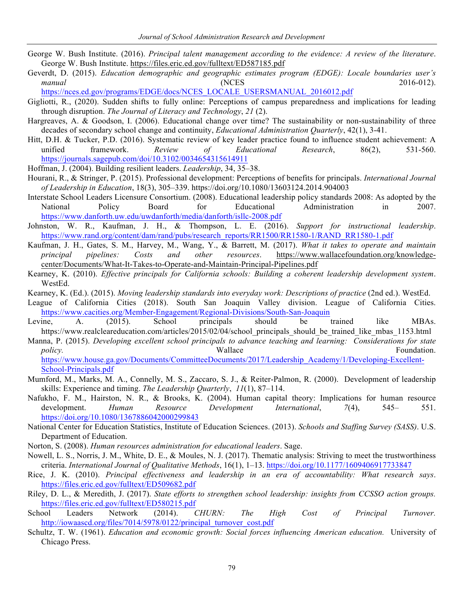- George W. Bush Institute. (2016). *Principal talent management according to the evidence: A review of the literature*. George W. Bush Institute. https://files.eric.ed.gov/fulltext/ED587185.pdf
- Geverdt, D. (2015). *Education demographic and geographic estimates program (EDGE): Locale boundaries user's manual* (NCES 2016-012).

https://nces.ed.gov/programs/EDGE/docs/NCES\_LOCALE\_USERSMANUAL\_2016012.pdf

- Gigliotti, R., (2020). Sudden shifts to fully online: Perceptions of campus preparedness and implications for leading through disruption. *The Journal of Literacy and Technology*, *21* (2).
- Hargreaves, A. & Goodson, I. (2006). Educational change over time? The sustainability or non-sustainability of three decades of secondary school change and continuity, *Educational Administration Quarterly*, 42(1), 3-41.
- Hitt, D.H. & Tucker, P.D. (2016). Systematic review of key leader practice found to influence student achievement: A unified framework. *Review of Educational Research*, 86(2), 531-560. https://journals.sagepub.com/doi/10.3102/0034654315614911
- Hoffman, J. (2004). Building resilient leaders. *Leadership*, 34, 35–38.
- Hourani, R., & Stringer, P. (2015). Professional development: Perceptions of benefits for principals. *International Journal of Leadership in Education*, 18(3), 305–339. https://doi.org/10.1080/13603124.2014.904003
- Interstate School Leaders Licensure Consortium. (2008). Educational leadership policy standards 2008: As adopted by the National Policy Board for Educational Administration in 2007. https://www.danforth.uw.edu/uwdanforth/media/danforth/isllc-2008.pdf
- Johnston, W. R., Kaufman, J. H., & Thompson, L. E. (2016). *Support for instructional leadership*. https://www.rand.org/content/dam/rand/pubs/research\_reports/RR1500/RR1580-1/RAND\_RR1580-1.pdf
- Kaufman, J. H., Gates, S. M., Harvey, M., Wang, Y., & Barrett, M. (2017). *What it takes to operate and maintain principal pipelines: Costs and other resources*. https://www.wallacefoundation.org/knowledgecenter/Documents/What-It-Takes-to-Operate-and-Maintain-Principal-Pipelines.pdf
- Kearney, K. (2010). *Effective principals for California schools: Building a coherent leadership development system*. WestEd.
- Kearney, K. (Ed.). (2015). *Moving leadership standards into everyday work: Descriptions of practice* (2nd ed.). WestEd.
- League of California Cities (2018). South San Joaquin Valley division. League of California Cities. https://www.cacities.org/Member-Engagement/Regional-Divisions/South-San-Joaquin
- Levine, A. (2015). School principals should be trained like MBAs. https://www.realcleareducation.com/articles/2015/02/04/school\_principals\_should\_be\_trained\_like\_mbas\_1153.html
- Manna, P. (2015). *Developing excellent school principals to advance teaching and learning: Considerations for state*  policy. The same of the Wallace **Foundation Foundation Foundation**.

https://www.house.ga.gov/Documents/CommitteeDocuments/2017/Leadership\_Academy/1/Developing-Excellent-School-Principals.pdf

- Mumford, M., Marks, M. A., Connelly, M. S., Zaccaro, S. J., & Reiter-Palmon, R. (2000). Development of leadership skills: Experience and timing. *The Leadership Quarterly*, *11*(1), 87–114.
- Nafukho, F. M., Hairston, N. R., & Brooks, K. (2004). Human capital theory: Implications for human resource development. *Human Resource Development International*, *7*(4), 545– 551. https://doi.org/10.1080/1367886042000299843
- National Center for Education Statistics, Institute of Education Sciences. (2013). *Schools and Staffing Survey (SASS)*. U.S. Department of Education.
- Norton, S. (2008). *Human resources administration for educational leaders*. Sage.
- Nowell, L. S., Norris, J. M., White, D. E., & Moules, N. J. (2017). Thematic analysis: Striving to meet the trustworthiness criteria. *International Journal of Qualitative Methods*, 16(1), 1–13. https://doi.org/10.1177/1609406917733847
- Rice, J. K. (2010). *Principal effectiveness and leadership in an era of accountability: What research says*. https://files.eric.ed.gov/fulltext/ED509682.pdf
- Riley, D. L., & Meredith, J. (2017). *State efforts to strengthen school leadership: insights from CCSSO action groups.* https://files.eric.ed.gov/fulltext/ED580215.pdf
- School Leaders Network (2014). *CHURN: The High Cost of Principal Turnover.* http://iowaascd.org/files/7014/5978/0122/principal\_turnover\_cost.pdf
- Schultz, T. W. (1961). *Education and economic growth: Social forces influencing American education.* University of Chicago Press.